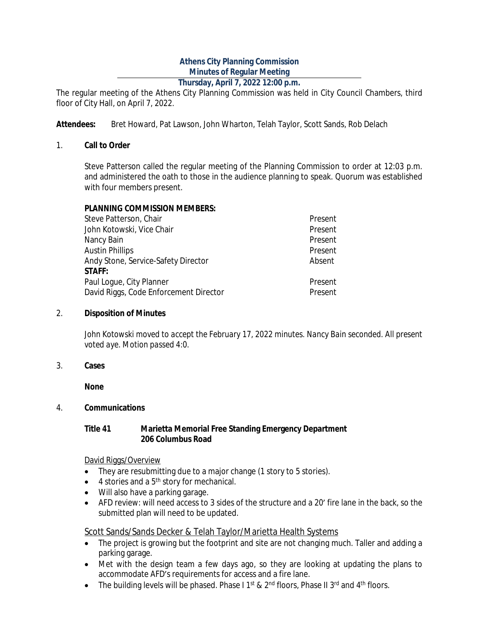# **Athens City Planning Commission Minutes of Regular Meeting**

# **Thursday, April 7, 2022 12:00 p.m.**

The regular meeting of the Athens City Planning Commission was held in City Council Chambers, third floor of City Hall, on April 7, 2022.

**Attendees:** Bret Howard, Pat Lawson, John Wharton, Telah Taylor, Scott Sands, Rob Delach

#### 1. **Call to Order**

Steve Patterson called the regular meeting of the Planning Commission to order at 12:03 p.m. and administered the oath to those in the audience planning to speak. Quorum was established with four members present.

### **PLANNING COMMISSION MEMBERS:**

| Steve Patterson, Chair                 | Present |
|----------------------------------------|---------|
| John Kotowski, Vice Chair              | Present |
| Nancy Bain                             | Present |
| <b>Austin Phillips</b>                 | Present |
| Andy Stone, Service-Safety Director    | Absent  |
| <b>STAFF:</b>                          |         |
| Paul Loque, City Planner               | Present |
| David Riggs, Code Enforcement Director | Present |

#### 2. **Disposition of Minutes**

*John Kotowski moved to accept the February 17, 2022 minutes. Nancy Bain seconded. All present voted aye. Motion passed 4:0.*

3. **Cases**

**None**

# 4. **Communications**

### **Title 41 Marietta Memorial Free Standing Emergency Department 206 Columbus Road**

#### David Riggs/Overview

- They are resubmitting due to a major change (1 story to 5 stories).
- $\bullet$  4 stories and a  $5<sup>th</sup>$  story for mechanical.
- Will also have a parking garage.
- AFD review: will need access to 3 sides of the structure and a 20' fire lane in the back, so the submitted plan will need to be updated.

# Scott Sands/Sands Decker & Telah Taylor/Marietta Health Systems

- The project is growing but the footprint and site are not changing much. Taller and adding a parking garage.
- Met with the design team a few days ago, so they are looking at updating the plans to accommodate AFD's requirements for access and a fire lane.
- The building levels will be phased. Phase I 1<sup>st</sup> & 2<sup>nd</sup> floors, Phase II 3<sup>rd</sup> and 4<sup>th</sup> floors.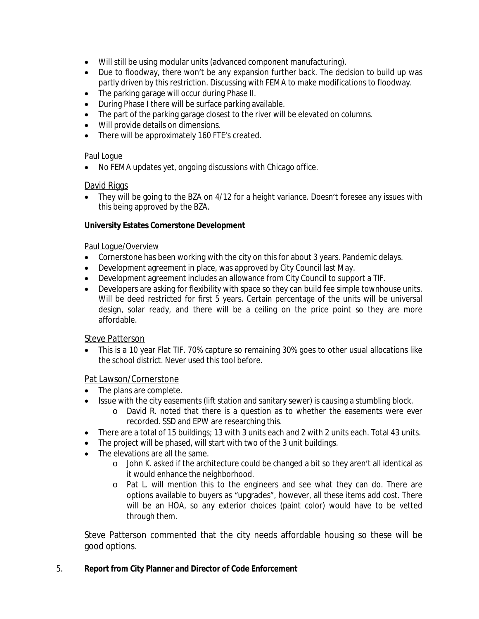- Will still be using modular units (advanced component manufacturing).
- Due to floodway, there won't be any expansion further back. The decision to build up was partly driven by this restriction. Discussing with FEMA to make modifications to floodway.
- The parking garage will occur during Phase II.
- During Phase I there will be surface parking available.
- The part of the parking garage closest to the river will be elevated on columns.
- Will provide details on dimensions.
- There will be approximately 160 FTE's created.

# Paul Logue

No FEMA updates yet, ongoing discussions with Chicago office.

# David Riggs

• They will be going to the BZA on 4/12 for a height variance. Doesn't foresee any issues with this being approved by the BZA.

# **University Estates Cornerstone Development**

### Paul Logue/Overview

- Cornerstone has been working with the city on this for about 3 years. Pandemic delays.
- Development agreement in place, was approved by City Council last May.
- Development agreement includes an allowance from City Council to support a TIF.
- Developers are asking for flexibility with space so they can build fee simple townhouse units. Will be deed restricted for first 5 years. Certain percentage of the units will be universal design, solar ready, and there will be a ceiling on the price point so they are more affordable.

# Steve Patterson

 This is a 10 year Flat TIF. 70% capture so remaining 30% goes to other usual allocations like the school district. Never used this tool before.

# Pat Lawson/Cornerstone

- The plans are complete.
- Issue with the city easements (lift station and sanitary sewer) is causing a stumbling block.
	- o David R. noted that there is a question as to whether the easements were ever recorded. SSD and EPW are researching this.
- There are a total of 15 buildings; 13 with 3 units each and 2 with 2 units each. Total 43 units.
- The project will be phased, will start with two of the 3 unit buildings.
- The elevations are all the same.
	- o John K. asked if the architecture could be changed a bit so they aren't all identical as it would enhance the neighborhood.
	- o Pat L. will mention this to the engineers and see what they can do. There are options available to buyers as "upgrades", however, all these items add cost. There will be an HOA, so any exterior choices (paint color) would have to be vetted through them.

Steve Patterson commented that the city needs affordable housing so these will be good options.

# 5. **Report from City Planner and Director of Code Enforcement**